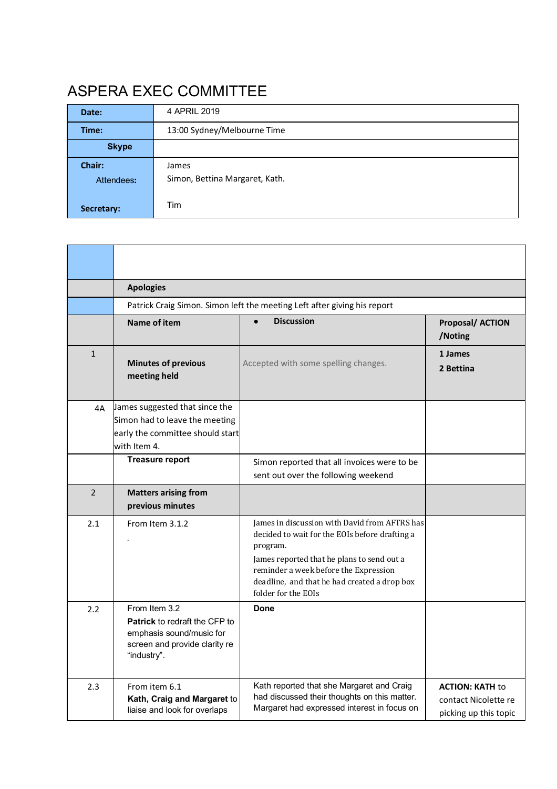# ASPERA EXEC COMMITTEE

| Date:                | 4 APRIL 2019                            |  |  |
|----------------------|-----------------------------------------|--|--|
| Time:                | 13:00 Sydney/Melbourne Time             |  |  |
| <b>Skype</b>         |                                         |  |  |
| Chair:<br>Attendees: | James<br>Simon, Bettina Margaret, Kath. |  |  |
| Secretary:           | Tim                                     |  |  |

|                | <b>Apologies</b>                                                                                                                  |                                                                                                                                                                                                                                                                           |                                                                         |  |  |  |
|----------------|-----------------------------------------------------------------------------------------------------------------------------------|---------------------------------------------------------------------------------------------------------------------------------------------------------------------------------------------------------------------------------------------------------------------------|-------------------------------------------------------------------------|--|--|--|
|                |                                                                                                                                   | Patrick Craig Simon. Simon left the meeting Left after giving his report                                                                                                                                                                                                  |                                                                         |  |  |  |
|                | Name of item                                                                                                                      | <b>Discussion</b>                                                                                                                                                                                                                                                         | Proposal/ ACTION<br>/Noting                                             |  |  |  |
| $\mathbf{1}$   | <b>Minutes of previous</b><br>meeting held                                                                                        | Accepted with some spelling changes.                                                                                                                                                                                                                                      | 1 James<br>2 Bettina                                                    |  |  |  |
| 4A             | James suggested that since the<br>Simon had to leave the meeting<br>early the committee should start<br>with Item 4.              |                                                                                                                                                                                                                                                                           |                                                                         |  |  |  |
|                | <b>Treasure report</b>                                                                                                            | Simon reported that all invoices were to be<br>sent out over the following weekend                                                                                                                                                                                        |                                                                         |  |  |  |
| $\overline{2}$ | <b>Matters arising from</b><br>previous minutes                                                                                   |                                                                                                                                                                                                                                                                           |                                                                         |  |  |  |
| 2.1            | From Item 3.1.2                                                                                                                   | James in discussion with David from AFTRS has<br>decided to wait for the EOIs before drafting a<br>program.<br>James reported that he plans to send out a<br>reminder a week before the Expression<br>deadline, and that he had created a drop box<br>folder for the EOIs |                                                                         |  |  |  |
| 2.2            | From Item 3.2<br><b>Patrick</b> to redraft the CFP to<br>emphasis sound/music for<br>screen and provide clarity re<br>"industry". | Done                                                                                                                                                                                                                                                                      |                                                                         |  |  |  |
| 2.3            | From item 6.1<br>Kath, Craig and Margaret to<br>liaise and look for overlaps                                                      | Kath reported that she Margaret and Craig<br>had discussed their thoughts on this matter.<br>Margaret had expressed interest in focus on                                                                                                                                  | <b>ACTION: KATH to</b><br>contact Nicolette re<br>picking up this topic |  |  |  |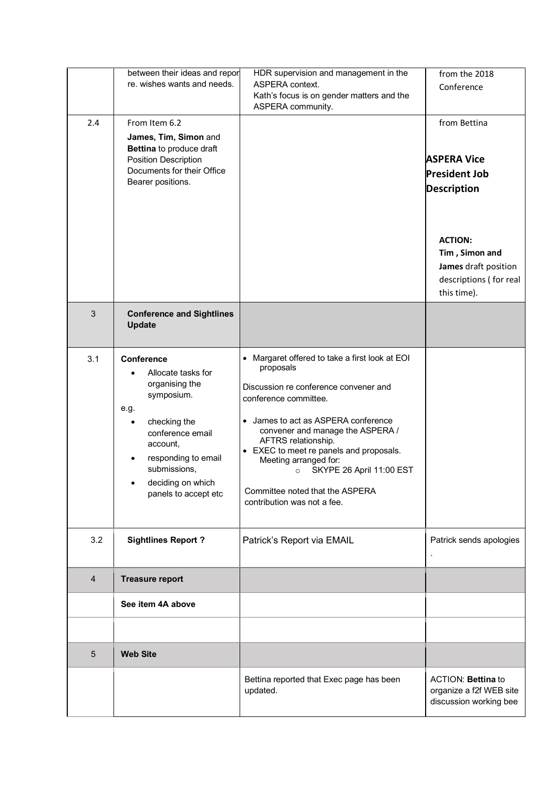|                | between their ideas and repor<br>re. wishes wants and needs.                                                                                                                                                        | HDR supervision and management in the<br>ASPERA context.<br>Kath's focus is on gender matters and the<br>ASPERA community.                                                                                                                                                                                                                                                                                   | from the 2018<br>Conference                                                                                                                                                           |
|----------------|---------------------------------------------------------------------------------------------------------------------------------------------------------------------------------------------------------------------|--------------------------------------------------------------------------------------------------------------------------------------------------------------------------------------------------------------------------------------------------------------------------------------------------------------------------------------------------------------------------------------------------------------|---------------------------------------------------------------------------------------------------------------------------------------------------------------------------------------|
| 2.4            | From Item 6.2<br>James, Tim, Simon and<br>Bettina to produce draft<br><b>Position Description</b><br>Documents for their Office<br>Bearer positions.                                                                |                                                                                                                                                                                                                                                                                                                                                                                                              | from Bettina<br><b>ASPERA Vice</b><br><b>President Job</b><br><b>Description</b><br><b>ACTION:</b><br>Tim, Simon and<br>James draft position<br>descriptions (for real<br>this time). |
| $\mathbf{3}$   | <b>Conference and Sightlines</b><br>Update                                                                                                                                                                          |                                                                                                                                                                                                                                                                                                                                                                                                              |                                                                                                                                                                                       |
| 3.1            | <b>Conference</b><br>Allocate tasks for<br>organising the<br>symposium.<br>e.g.<br>checking the<br>conference email<br>account,<br>responding to email<br>submissions,<br>deciding on which<br>panels to accept etc | • Margaret offered to take a first look at EOI<br>proposals<br>Discussion re conference convener and<br>conference committee.<br>• James to act as ASPERA conference<br>convener and manage the ASPERA /<br>AFTRS relationship.<br>• EXEC to meet re panels and proposals.<br>Meeting arranged for:<br>SKYPE 26 April 11:00 EST<br>$\circ$<br>Committee noted that the ASPERA<br>contribution was not a fee. |                                                                                                                                                                                       |
| 3.2            | <b>Sightlines Report?</b>                                                                                                                                                                                           | Patrick's Report via EMAIL                                                                                                                                                                                                                                                                                                                                                                                   | Patrick sends apologies                                                                                                                                                               |
| $\overline{4}$ | <b>Treasure report</b>                                                                                                                                                                                              |                                                                                                                                                                                                                                                                                                                                                                                                              |                                                                                                                                                                                       |
|                | See item 4A above                                                                                                                                                                                                   |                                                                                                                                                                                                                                                                                                                                                                                                              |                                                                                                                                                                                       |
|                |                                                                                                                                                                                                                     |                                                                                                                                                                                                                                                                                                                                                                                                              |                                                                                                                                                                                       |
| 5              | <b>Web Site</b>                                                                                                                                                                                                     |                                                                                                                                                                                                                                                                                                                                                                                                              |                                                                                                                                                                                       |
|                |                                                                                                                                                                                                                     | Bettina reported that Exec page has been<br>updated.                                                                                                                                                                                                                                                                                                                                                         | ACTION: Bettina to<br>organize a f2f WEB site<br>discussion working bee                                                                                                               |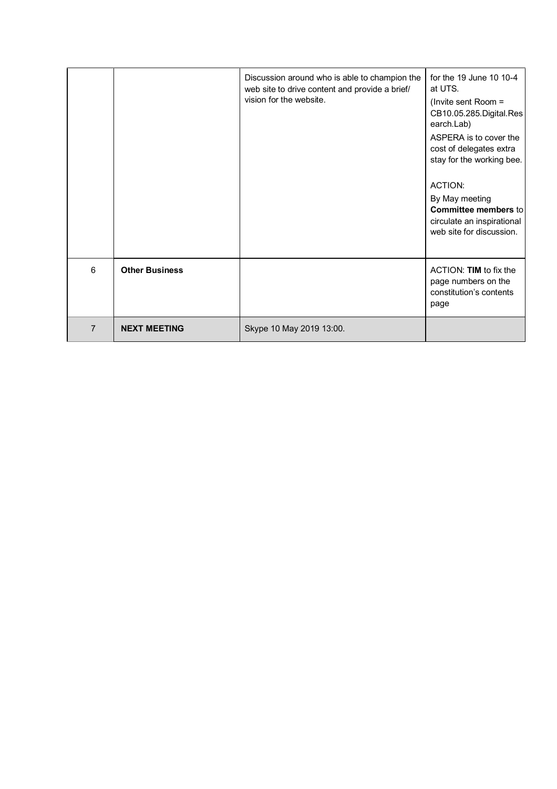|                |                       | Discussion around who is able to champion the<br>web site to drive content and provide a brief/<br>vision for the website. | for the 19 June 10 10-4<br>at UTS.<br>(Invite sent Room $=$<br>CB10.05.285.Digital.Res<br>earch.Lab)<br>ASPERA is to cover the<br>cost of delegates extra<br>stay for the working bee.<br>ACTION:<br>By May meeting<br><b>Committee members to</b><br>circulate an inspirational<br>web site for discussion. |
|----------------|-----------------------|----------------------------------------------------------------------------------------------------------------------------|--------------------------------------------------------------------------------------------------------------------------------------------------------------------------------------------------------------------------------------------------------------------------------------------------------------|
| 6              | <b>Other Business</b> |                                                                                                                            | ACTION: TIM to fix the<br>page numbers on the<br>constitution's contents<br>page                                                                                                                                                                                                                             |
| $\overline{7}$ | <b>NEXT MEETING</b>   | Skype 10 May 2019 13:00.                                                                                                   |                                                                                                                                                                                                                                                                                                              |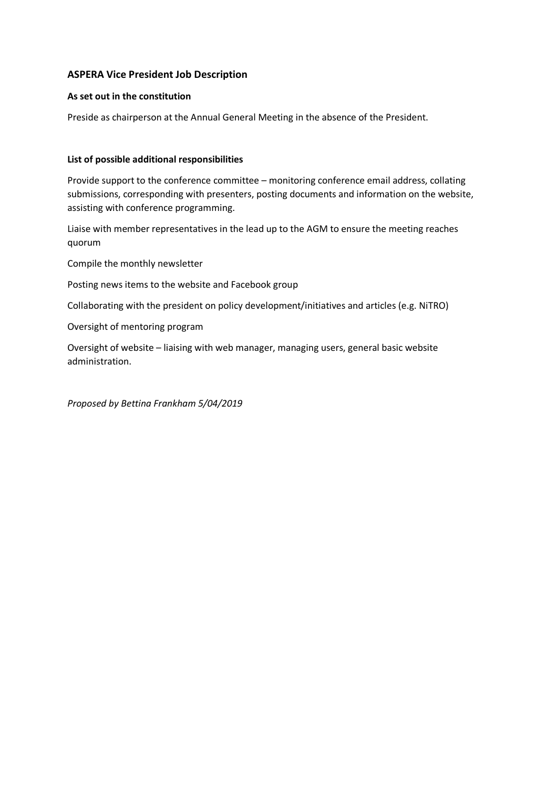### **ASPERA Vice President Job Description**

#### **As set out in the constitution**

Preside as chairperson at the Annual General Meeting in the absence of the President.

#### **List of possible additional responsibilities**

Provide support to the conference committee – monitoring conference email address, collating submissions, corresponding with presenters, posting documents and information on the website, assisting with conference programming.

Liaise with member representatives in the lead up to the AGM to ensure the meeting reaches quorum

Compile the monthly newsletter

Posting news items to the website and Facebook group

Collaborating with the president on policy development/initiatives and articles (e.g. NiTRO)

Oversight of mentoring program

Oversight of website – liaising with web manager, managing users, general basic website administration.

*Proposed by Bettina Frankham 5/04/2019*